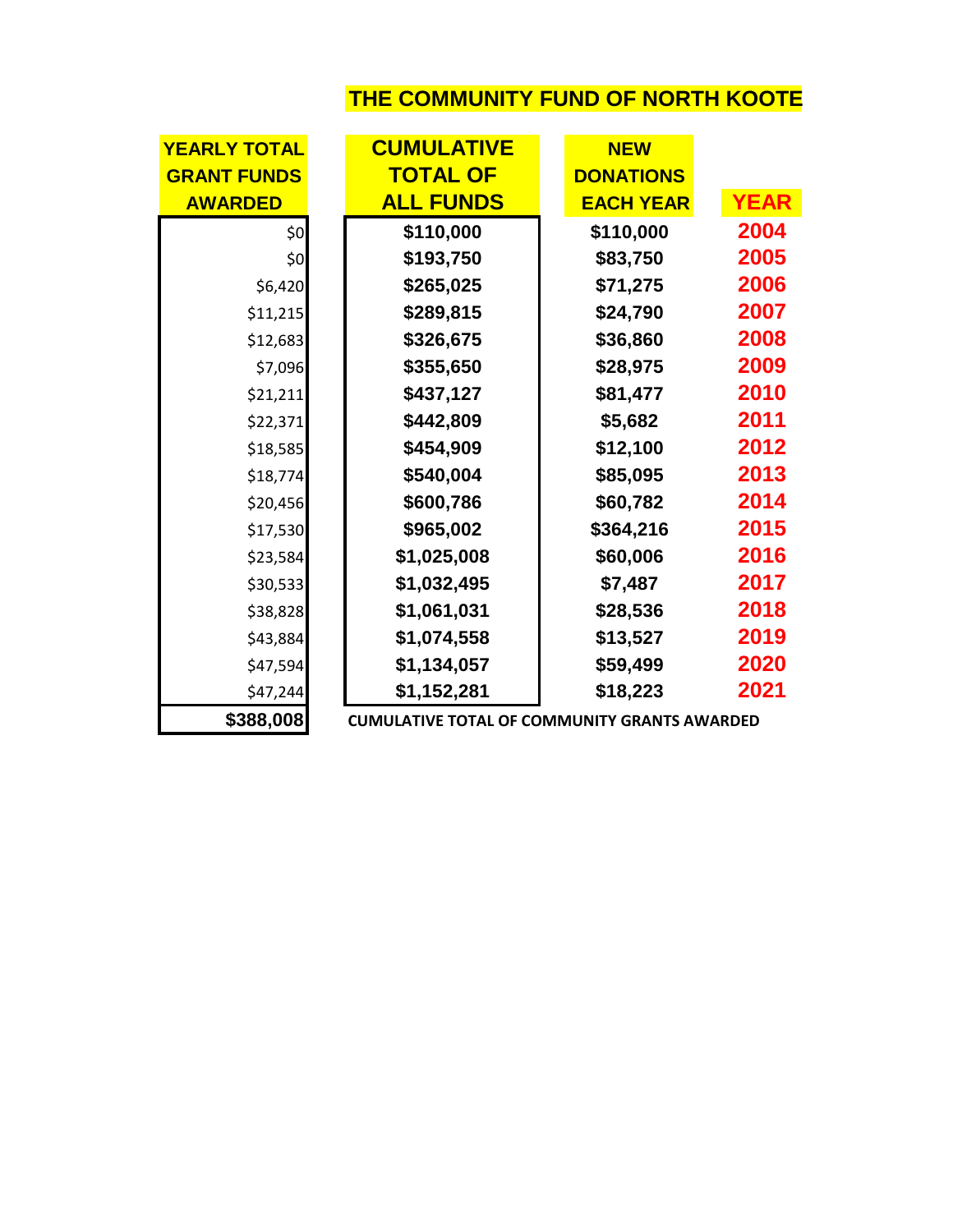## **THE COMMUNITY FUND OF NORTH KOOTE**

| <b>YEARLY TOTAL</b> | <b>CUMULATIVE</b>                                   | <b>NEW</b>       |             |
|---------------------|-----------------------------------------------------|------------------|-------------|
| <b>GRANT FUNDS</b>  | <b>TOTAL OF</b>                                     | <b>DONATIONS</b> |             |
| <b>AWARDED</b>      | <b>ALL FUNDS</b>                                    | <b>EACH YEAR</b> | <b>YEAR</b> |
| \$0                 | \$110,000                                           | \$110,000        | 2004        |
| \$0                 | \$193,750                                           | \$83,750         | 2005        |
| \$6,420             | \$265,025                                           | \$71,275         | 2006        |
| \$11,215            | \$289,815                                           | \$24,790         | 2007        |
| \$12,683            | \$326,675                                           | \$36,860         | 2008        |
| \$7,096             | \$355,650                                           | \$28,975         | 2009        |
| \$21,211            | \$437,127                                           | \$81,477         | 2010        |
| \$22,371            | \$442,809                                           | \$5,682          | 2011        |
| \$18,585            | \$454,909                                           | \$12,100         | 2012        |
| \$18,774            | \$540,004                                           | \$85,095         | 2013        |
| \$20,456            | \$600,786                                           | \$60,782         | 2014        |
| \$17,530            | \$965,002                                           | \$364,216        | 2015        |
| \$23,584            | \$1,025,008                                         | \$60,006         | 2016        |
| \$30,533            | \$1,032,495                                         | \$7,487          | 2017        |
| \$38,828            | \$1,061,031                                         | \$28,536         | 2018        |
| \$43,884            | \$1,074,558                                         | \$13,527         | 2019        |
| \$47,594            | \$1,134,057                                         | \$59,499         | 2020        |
| \$47,244            | \$1,152,281                                         | \$18,223         | 2021        |
| \$388,008           | <b>CUMULATIVE TOTAL OF COMMUNITY GRANTS AWARDED</b> |                  |             |

**\$388,008 CUMULATIVE TOTAL OF COMMUNITY GRANTS AWARDED**